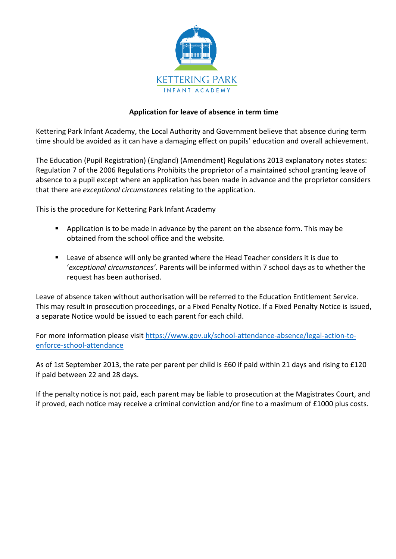

## **Application for leave of absence in term time**

Kettering Park Infant Academy, the Local Authority and Government believe that absence during term time should be avoided as it can have a damaging effect on pupils' education and overall achievement.

The Education (Pupil Registration) (England) (Amendment) Regulations 2013 explanatory notes states: Regulation 7 of the 2006 Regulations Prohibits the proprietor of a maintained school granting leave of absence to a pupil except where an application has been made in advance and the proprietor considers that there are *exceptional circumstances* relating to the application.

This is the procedure for Kettering Park Infant Academy

- **Application is to be made in advance by the parent on the absence form. This may be** obtained from the school office and the website.
- **EXTER 1** Leave of absence will only be granted where the Head Teacher considers it is due to '*exceptional circumstances'*. Parents will be informed within 7 school days as to whether the request has been authorised.

Leave of absence taken without authorisation will be referred to the Education Entitlement Service. This may result in prosecution proceedings, or a Fixed Penalty Notice. If a Fixed Penalty Notice is issued, a separate Notice would be issued to each parent for each child.

For more information please visi[t https://www.gov.uk/school-attendance-absence/legal-action-to](https://www.gov.uk/school-attendance-absence/legal-action-to-enforce-school-attendance)[enforce-school-attendance](https://www.gov.uk/school-attendance-absence/legal-action-to-enforce-school-attendance)

As of 1st September 2013, the rate per parent per child is £60 if paid within 21 days and rising to £120 if paid between 22 and 28 days.

If the penalty notice is not paid, each parent may be liable to prosecution at the Magistrates Court, and if proved, each notice may receive a criminal conviction and/or fine to a maximum of £1000 plus costs.